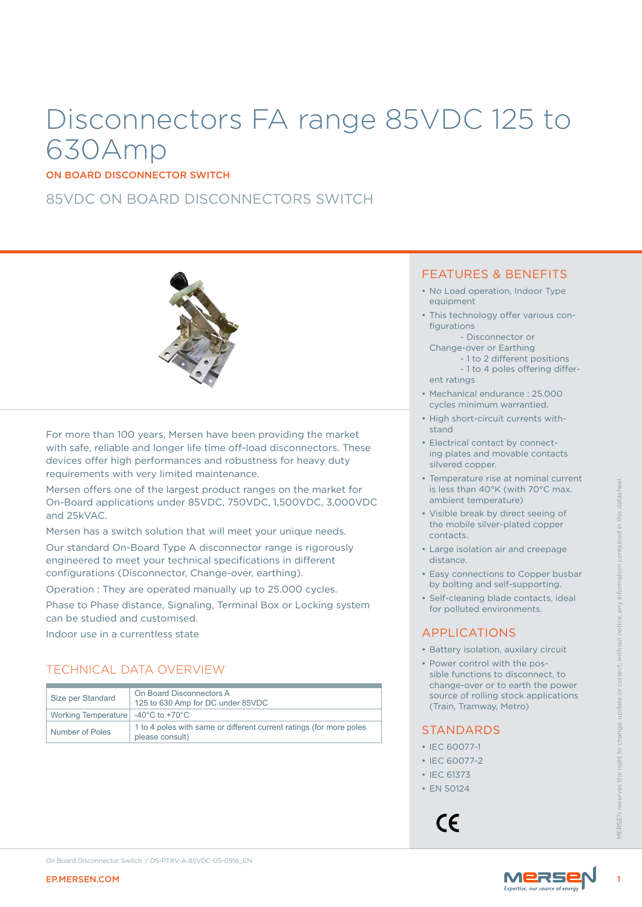# Disconnectors FA range 85VDC 125 to 630Amp

ON BOARD DISCONNECTOR SWITCH

## 85VDC ON BOARD DISCONNECTORS SWITCH



For more than 100 years, Mersen have been providing the market with safe, reliable and longer life time off-load disconnectors. These devices offer high performances and robustness for heavy duty requirements with very limited maintenance.

## TECHNICAL DATA OVERVIEW

| <b>EP.MERSEN.COM</b>                          | On Board Disconnector Switch / DS-PTRV-A-85VDC-05-0916 EN                                                                          | Mers                                                                                                                                |  |
|-----------------------------------------------|------------------------------------------------------------------------------------------------------------------------------------|-------------------------------------------------------------------------------------------------------------------------------------|--|
|                                               |                                                                                                                                    | • IEC 60077-2<br>• IEC 61373<br>• EN 50124<br>FRSEN<br>CE                                                                           |  |
|                                               | please consult)                                                                                                                    | • IEC 60077-1                                                                                                                       |  |
| <b>Working Temperature</b><br>Number of Poles | -40 $^{\circ}$ C to +70 $^{\circ}$ C<br>1 to 4 poles with same or different current ratings (for more poles                        | <b>STANDARDS</b>                                                                                                                    |  |
| Size per Standard                             | On Board Disconnectors A<br>125 to 630 Amp for DC under 85VDC                                                                      | change-over or to earth the power<br>source of rolling stock applications<br>(Train, Tramway, Metro)                                |  |
|                                               | <b>TECHNICAL DATA OVERVIEW</b>                                                                                                     | • Battery isolation, auxilary circuit<br>• Power control with the pos-<br>sible functions to disconnect, to                         |  |
| Indoor use in a currentless state             |                                                                                                                                    | <b>APPLICATIONS</b>                                                                                                                 |  |
| can be studied and customised.                | Phase to Phase distance, Signaling, Terminal Box or Locking system                                                                 | · Self-cleaning blade contacts, ideal<br>for polluted environments.                                                                 |  |
|                                               | configurations (Disconnector, Change-over, earthing).<br>Operation: They are operated manually up to 25.000 cycles.                | • Easy connections to Copper busbar<br>by bolting and self-supporting.                                                              |  |
|                                               | Our standard On-Board Type A disconnector range is rigorously<br>engineered to meet your technical specifications in different     | • Large isolation air and creepage<br>distance.                                                                                     |  |
|                                               | Mersen has a switch solution that will meet your unique needs.                                                                     | contacts.                                                                                                                           |  |
| and 25kVAC.                                   | Mersen offers one of the largest product ranges on the market for<br>On-Board applications under 85VDC, 750VDC, 1,500VDC, 3,000VDC | is less than 40°K (with 70°C max.<br>ambient temperature)<br>• Visible break by direct seeing of<br>the mobile silver-plated copper |  |
|                                               |                                                                                                                                    | • Temperature rise at nominal current                                                                                               |  |

#### FEATURES & BENEFITS

- No Load operation, Indoor Type equipment
- This technology offer various configurations
- Disconnector or Change-over or Earthing
	- 1 to 2 different positions - 1 to 4 poles offering differ-
- ent ratings
- Mechanical endurance : 25.000 cycles minimum warrantied.
- High short-circuit currents withstand
- Electrical contact by connecting plates and movable contacts silvered copper.
- Temperature rise at nominal current is less than 40°K (with 70°C max. ambient temperature)
- Visible break by direct seeing of the mobile silver-plated copper contacts.
- Large isolation air and creepage distance.
- Easy connections to Copper busbar by bolting and self-supporting.
- Self-cleaning blade contacts, ideal for polluted environments.

### APPLICATIONS

- Battery isolation, auxilary circuit
- Power control with the possible functions to disconnect, to change-over or to earth the power source of rolling stock applications (Train, Tramway, Metro)

## STANDARDS

- IEC 60077-1
- IEC 60077-2
- IEC 61373
- EN 50124



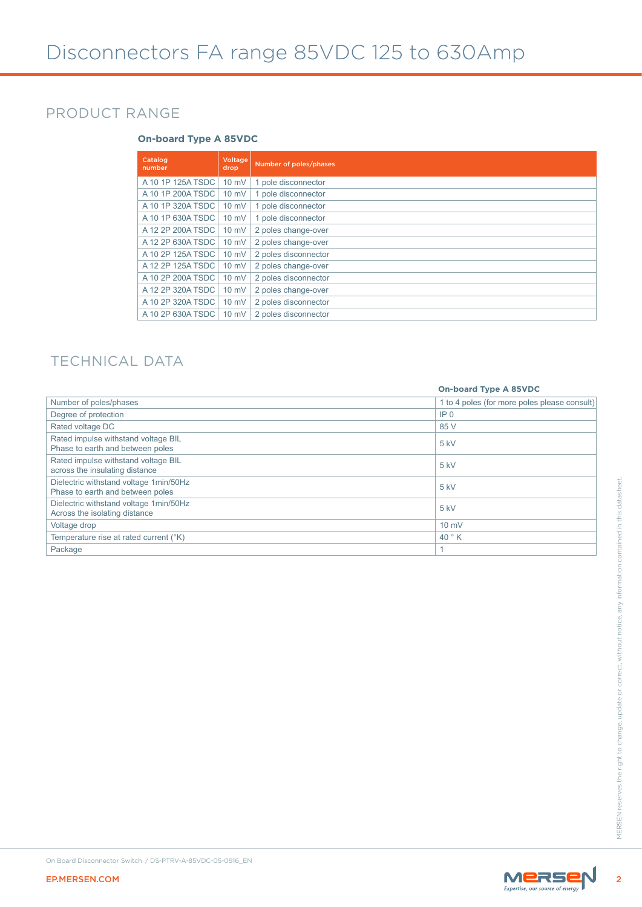## PRODUCT RANGE

### **On-board Type A 85VDC**

| Catalog<br>number | <b>Voltage</b><br>drop | Number of poles/phases |
|-------------------|------------------------|------------------------|
| A 10 1P 125A TSDC | $10 \text{ mV}$        | 1 pole disconnector    |
| A 10 1P 200A TSDC | $10$ mV                | 1 pole disconnector    |
| A 10 1P 320A TSDC | $10 \text{ mV}$        | 1 pole disconnector    |
| A 10 1P 630A TSDC | $10 \text{ mV}$        | 1 pole disconnector    |
| A 12 2P 200A TSDC | $10$ mV                | 2 poles change-over    |
| A 12 2P 630A TSDC | $10 \text{ mV}$        | 2 poles change-over    |
| A 10 2P 125A TSDC | $10 \text{ mV}$        | 2 poles disconnector   |
| A 12 2P 125A TSDC | $10 \text{ mV}$        | 2 poles change-over    |
| A 10 2P 200A TSDC | $10 \text{ mV}$        | 2 poles disconnector   |
| A 12 2P 320A TSDC | $10 \text{ mV}$        | 2 poles change-over    |
| A 10 2P 320A TSDC | $10 \text{ mV}$        | 2 poles disconnector   |
| A 10 2P 630A TSDC | $10 \text{ mV}$        | 2 poles disconnector   |

## TECHNICAL DATA

|                                                                            | <b>On-board Type A 85VDC</b>                 |
|----------------------------------------------------------------------------|----------------------------------------------|
| Number of poles/phases                                                     | 1 to 4 poles (for more poles please consult) |
| Degree of protection                                                       | IP <sub>0</sub>                              |
| Rated voltage DC                                                           | 85 V                                         |
| Rated impulse withstand voltage BIL<br>Phase to earth and between poles    | 5 kV                                         |
| Rated impulse withstand voltage BIL<br>across the insulating distance      | 5 kV                                         |
| Dielectric withstand voltage 1min/50Hz<br>Phase to earth and between poles | 5 kV                                         |
| Dielectric withstand voltage 1min/50Hz<br>Across the isolating distance    | 5 kV                                         |
| Voltage drop                                                               | 10 mV                                        |
| Temperature rise at rated current (°K)                                     | 40 ° K                                       |
| Package                                                                    | $\mathbf{1}$                                 |
|                                                                            |                                              |
| On Board Disconnector Switch / DS-PTRV-A-85VDC-05-0916_EN                  |                                              |
|                                                                            |                                              |
| <b>EP.MERSEN.COM</b>                                                       | MERSEN                                       |

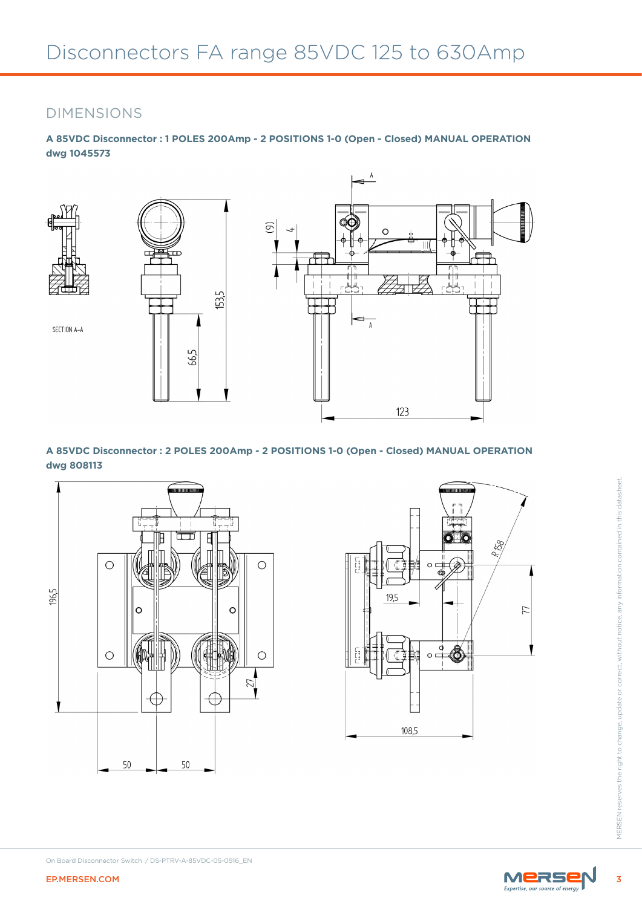## DIMENSIONS

**A 85VDC Disconnector : 1 POLES 200Amp - 2 POSITIONS 1-0 (Open - Closed) MANUAL OPERATION dwg 1045573**



**A 85VDC Disconnector : 2 POLES 200Amp - 2 POSITIONS 1-0 (Open - Closed) MANUAL OPERATION dwg 808113**